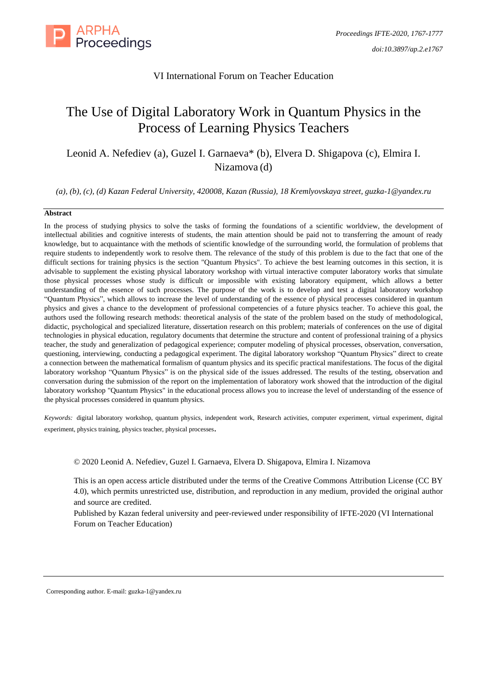

# VI International Forum on Teacher Education

# The Use of Digital Laboratory Work in Quantum Physics in the Process of Learning Physics Teachers

Leonid A. Nefediev (a), Guzel I. Garnaeva\* (b), Elvera D. Shigapova (c), Elmira I. Nizamova (d)

*(a), (b), (c), (d) Kazan Federal University, 420008, Kazan (Russia), 18 Kremlyovskaya street, [guzka-1@yandex.ru](mailto:guzka-1@yandex.ru)*

#### **Abstract**

In the process of studying physics to solve the tasks of forming the foundations of a scientific worldview, the development of intellectual abilities and cognitive interests of students, the main attention should be paid not to transferring the amount of ready knowledge, but to acquaintance with the methods of scientific knowledge of the surrounding world, the formulation of problems that require students to independently work to resolve them. The relevance of the study of this problem is due to the fact that one of the difficult sections for training physics is the section "Quantum Physics". To achieve the best learning outcomes in this section, it is advisable to supplement the existing physical laboratory workshop with virtual interactive computer laboratory works that simulate those physical processes whose study is difficult or impossible with existing laboratory equipment, which allows a better understanding of the essence of such processes. The purpose of the work is to develop and test a digital laboratory workshop "Quantum Physics", which allows to increase the level of understanding of the essence of physical processes considered in quantum physics and gives a chance to the development of professional competencies of a future physics teacher. To achieve this goal, the authors used the following research methods: theoretical analysis of the state of the problem based on the study of methodological, didactic, psychological and specialized literature, dissertation research on this problem; materials of conferences on the use of digital technologies in physical education, regulatory documents that determine the structure and content of professional training of a physics teacher, the study and generalization of pedagogical experience; computer modeling of physical processes, observation, conversation, questioning, interviewing, conducting a pedagogical experiment. The digital laboratory workshop "Quantum Physics" direct to create a connection between the mathematical formalism of quantum physics and its specific practical manifestations. The focus of the digital laboratory workshop "Quantum Physics" is on the physical side of the issues addressed. The results of the testing, observation and conversation during the submission of the report on the implementation of laboratory work showed that the introduction of the digital laboratory workshop "Quantum Physics" in the educational process allows you to increase the level of understanding of the essence of the physical processes considered in quantum physics.

*Keywords:* digital laboratory workshop, quantum physics, independent work, Research activities, computer experiment, virtual experiment, digital experiment, physics training, physics teacher, physical processes.

© 2020 Leonid A. Nefediev, Guzel I. Garnaeva, Elvera D. Shigapova, Elmira I. Nizamova

This is an open access article distributed under the terms of the Creative Commons Attribution License (CC BY 4.0), which permits unrestricted use, distribution, and reproduction in any medium, provided the original author and source are credited.

Published by Kazan federal university and peer-reviewed under responsibility of IFTE-2020 (VI International Forum on Teacher Education)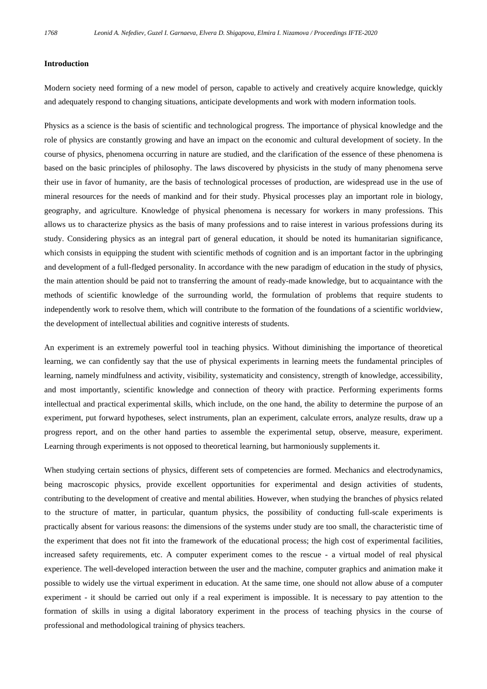#### **Introduction**

Modern society need forming of a new model of person, capable to actively and creatively acquire knowledge, quickly and adequately respond to changing situations, anticipate developments and work with modern information tools.

Physics as a science is the basis of scientific and technological progress. The importance of physical knowledge and the role of physics are constantly growing and have an impact on the economic and cultural development of society. In the course of physics, phenomena occurring in nature are studied, and the clarification of the essence of these phenomena is based on the basic principles of philosophy. The laws discovered by physicists in the study of many phenomena serve their use in favor of humanity, are the basis of technological processes of production, are widespread use in the use of mineral resources for the needs of mankind and for their study. Physical processes play an important role in biology, geography, and agriculture. Knowledge of physical phenomena is necessary for workers in many professions. This allows us to characterize physics as the basis of many professions and to raise interest in various professions during its study. Considering physics as an integral part of general education, it should be noted its humanitarian significance, which consists in equipping the student with scientific methods of cognition and is an important factor in the upbringing and development of a full-fledged personality. In accordance with the new paradigm of education in the study of physics, the main attention should be paid not to transferring the amount of ready-made knowledge, but to acquaintance with the methods of scientific knowledge of the surrounding world, the formulation of problems that require students to independently work to resolve them, which will contribute to the formation of the foundations of a scientific worldview, the development of intellectual abilities and cognitive interests of students.

An experiment is an extremely powerful tool in teaching physics. Without diminishing the importance of theoretical learning, we can confidently say that the use of physical experiments in learning meets the fundamental principles of learning, namely mindfulness and activity, visibility, systematicity and consistency, strength of knowledge, accessibility, and most importantly, scientific knowledge and connection of theory with practice. Performing experiments forms intellectual and practical experimental skills, which include, on the one hand, the ability to determine the purpose of an experiment, put forward hypotheses, select instruments, plan an experiment, calculate errors, analyze results, draw up a progress report, and on the other hand parties to assemble the experimental setup, observe, measure, experiment. Learning through experiments is not opposed to theoretical learning, but harmoniously supplements it.

When studying certain sections of physics, different sets of competencies are formed. Mechanics and electrodynamics, being macroscopic physics, provide excellent opportunities for experimental and design activities of students, contributing to the development of creative and mental abilities. However, when studying the branches of physics related to the structure of matter, in particular, quantum physics, the possibility of conducting full-scale experiments is practically absent for various reasons: the dimensions of the systems under study are too small, the characteristic time of the experiment that does not fit into the framework of the educational process; the high cost of experimental facilities, increased safety requirements, etc. A computer experiment comes to the rescue - a virtual model of real physical experience. The well-developed interaction between the user and the machine, computer graphics and animation make it possible to widely use the virtual experiment in education. At the same time, one should not allow abuse of a computer experiment - it should be carried out only if a real experiment is impossible. It is necessary to pay attention to the formation of skills in using a digital laboratory experiment in the process of teaching physics in the course of professional and methodological training of physics teachers.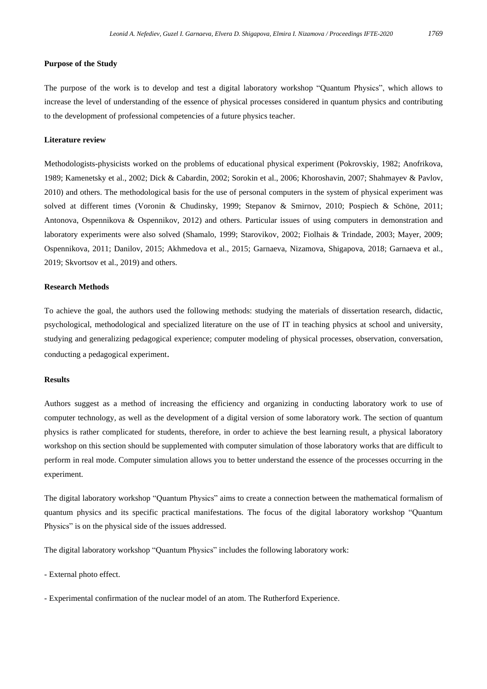#### **Purpose of the Study**

The purpose of the work is to develop and test a digital laboratory workshop "Quantum Physics", which allows to increase the level of understanding of the essence of physical processes considered in quantum physics and contributing to the development of professional competencies of a future physics teacher.

# **Literature review**

Methodologists-physicists worked on the problems of educational physical experiment (Pokrovskiy, 1982; Anofrikova, 1989; Kamenetsky et al., 2002; Dick & Cabardin, 2002; Sorokin et al., 2006; Khoroshavin, 2007; Shahmayev & Pavlov, 2010) and others. The methodological basis for the use of personal computers in the system of physical experiment was solved at different times (Voronin & Chudinsky, 1999; Stepanov & Smirnov, 2010; Pospiech & Schöne, 2011; Antonova, Ospennikova & Ospennikov, 2012) and others. Particular issues of using computers in demonstration and laboratory experiments were also solved (Shamalo, 1999; Starovikov, 2002; Fiolhais & Trindade, 2003; Mayer, 2009; Ospennikova, 2011; Danilov, 2015; Akhmedova et al., 2015; Garnaeva, Nizamova, Shigapova, 2018; Garnaeva et al., 2019; Skvortsov et al., 2019) and others.

#### **Research Methods**

To achieve the goal, the authors used the following methods: studying the materials of dissertation research, didactic, psychological, methodological and specialized literature on the use of IT in teaching physics at school and university, studying and generalizing pedagogical experience; computer modeling of physical processes, observation, conversation, conducting a pedagogical experiment.

#### **Results**

Authors suggest as a method of increasing the efficiency and organizing in conducting laboratory work to use of computer technology, as well as the development of a digital version of some laboratory work. The section of quantum physics is rather complicated for students, therefore, in order to achieve the best learning result, a physical laboratory workshop on this section should be supplemented with computer simulation of those laboratory works that are difficult to perform in real mode. Computer simulation allows you to better understand the essence of the processes occurring in the experiment.

The digital laboratory workshop "Quantum Physics" aims to create a connection between the mathematical formalism of quantum physics and its specific practical manifestations. The focus of the digital laboratory workshop "Quantum Physics" is on the physical side of the issues addressed.

The digital laboratory workshop "Quantum Physics" includes the following laboratory work:

- External photo effect.

- Experimental confirmation of the nuclear model of an atom. The Rutherford Experience.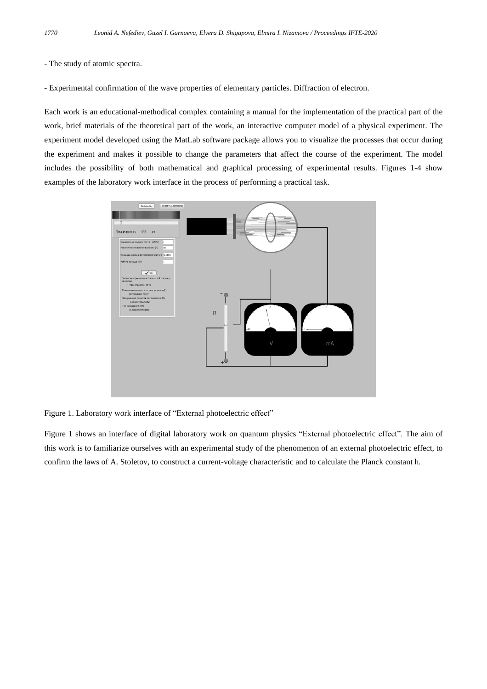## - The study of atomic spectra.

- Experimental confirmation of the wave properties of elementary particles. Diffraction of electron.

Each work is an educational-methodical complex containing a manual for the implementation of the practical part of the work, brief materials of the theoretical part of the work, an interactive computer model of a physical experiment. The experiment model developed using the MatLab software package allows you to visualize the processes that occur during the experiment and makes it possible to change the parameters that affect the course of the experiment. The model includes the possibility of both mathematical and graphical processing of experimental results. Figures 1-4 show examples of the laboratory work interface in the process of performing a practical task.



Figure 1. Laboratory work interface of "External photoelectric effect"

Figure 1 shows an interface of digital laboratory work on quantum physics "External photoelectric effect". The aim of this work is to familiarize ourselves with an experimental study of the phenomenon of an external photoelectric effect, to confirm the laws of A. Stoletov, to construct a current-voltage characteristic and to calculate the Planck constant h.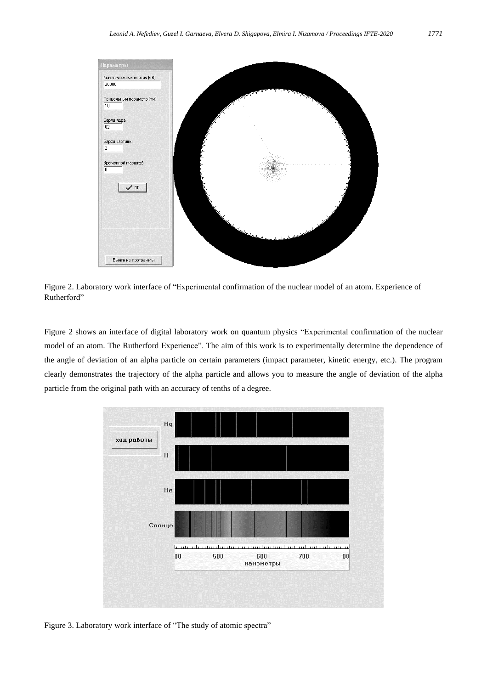

Figure 2. Laboratory work interface of "Experimental confirmation of the nuclear model of an atom. Experience of Rutherford"

Figure 2 shows an interface of digital laboratory work on quantum physics "Experimental confirmation of the nuclear model of an atom. The Rutherford Experience". The aim of this work is to experimentally determine the dependence of the angle of deviation of an alpha particle on certain parameters (impact parameter, kinetic energy, etc.). The program clearly demonstrates the trajectory of the alpha particle and allows you to measure the angle of deviation of the alpha particle from the original path with an accuracy of tenths of a degree.



Figure 3. Laboratory work interface of "The study of atomic spectra"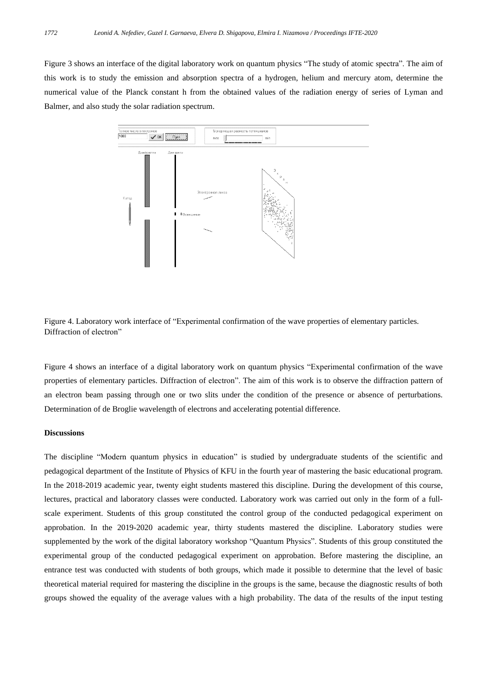Figure 3 shows an interface of the digital laboratory work on quantum physics "The study of atomic spectra". The aim of this work is to study the emission and absorption spectra of a hydrogen, helium and mercury atom, determine the numerical value of the Planck constant h from the obtained values of the radiation energy of series of Lyman and Balmer, and also study the solar radiation spectrum.



Figure 4. Laboratory work interface of "Experimental confirmation of the wave properties of elementary particles. Diffraction of electron"

Figure 4 shows an interface of a digital laboratory work on quantum physics "Experimental confirmation of the wave properties of elementary particles. Diffraction of electron". The aim of this work is to observe the diffraction pattern of an electron beam passing through one or two slits under the condition of the presence or absence of perturbations. Determination of de Broglie wavelength of electrons and accelerating potential difference.

#### **Discussions**

The discipline "Modern quantum physics in education" is studied by undergraduate students of the scientific and pedagogical department of the Institute of Physics of KFU in the fourth year of mastering the basic educational program. In the 2018-2019 academic year, twenty eight students mastered this discipline. During the development of this course, lectures, practical and laboratory classes were conducted. Laboratory work was carried out only in the form of a fullscale experiment. Students of this group constituted the control group of the conducted pedagogical experiment on approbation. In the 2019-2020 academic year, thirty students mastered the discipline. Laboratory studies were supplemented by the work of the digital laboratory workshop "Quantum Physics". Students of this group constituted the experimental group of the conducted pedagogical experiment on approbation. Before mastering the discipline, an entrance test was conducted with students of both groups, which made it possible to determine that the level of basic theoretical material required for mastering the discipline in the groups is the same, because the diagnostic results of both groups showed the equality of the average values with a high probability. The data of the results of the input testing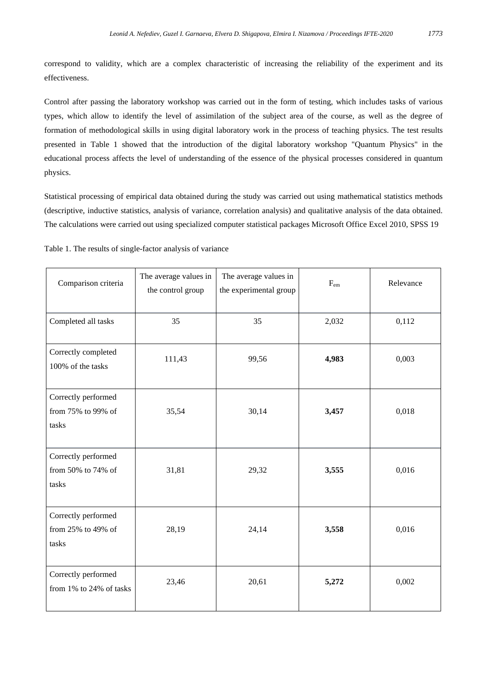correspond to validity, which are a complex characteristic of increasing the reliability of the experiment and its effectiveness.

Control after passing the laboratory workshop was carried out in the form of testing, which includes tasks of various types, which allow to identify the level of assimilation of the subject area of the course, as well as the degree of formation of methodological skills in using digital laboratory work in the process of teaching physics. The test results presented in Table 1 showed that the introduction of the digital laboratory workshop "Quantum Physics" in the educational process affects the level of understanding of the essence of the physical processes considered in quantum physics.

Statistical processing of empirical data obtained during the study was carried out using mathematical statistics methods (descriptive, inductive statistics, analysis of variance, correlation analysis) and qualitative analysis of the data obtained. The calculations were carried out using specialized computer statistical packages Microsoft Office Excel 2010, SPSS 19

| Comparison criteria                                | The average values in<br>the control group | The average values in<br>the experimental group | $F_{em}$ | Relevance |
|----------------------------------------------------|--------------------------------------------|-------------------------------------------------|----------|-----------|
| Completed all tasks                                | 35                                         | 35                                              | 2,032    | 0,112     |
| Correctly completed<br>100% of the tasks           | 111,43                                     | 99,56                                           | 4,983    | 0,003     |
| Correctly performed<br>from 75% to 99% of<br>tasks | 35,54                                      | 30,14                                           | 3,457    | 0,018     |
| Correctly performed<br>from 50% to 74% of<br>tasks | 31,81                                      | 29,32                                           | 3,555    | 0,016     |
| Correctly performed<br>from 25% to 49% of<br>tasks | 28,19                                      | 24,14                                           | 3,558    | 0,016     |
| Correctly performed<br>from 1% to 24% of tasks     | 23,46                                      | 20,61                                           | 5,272    | 0,002     |

Table 1. The results of single-factor analysis of variance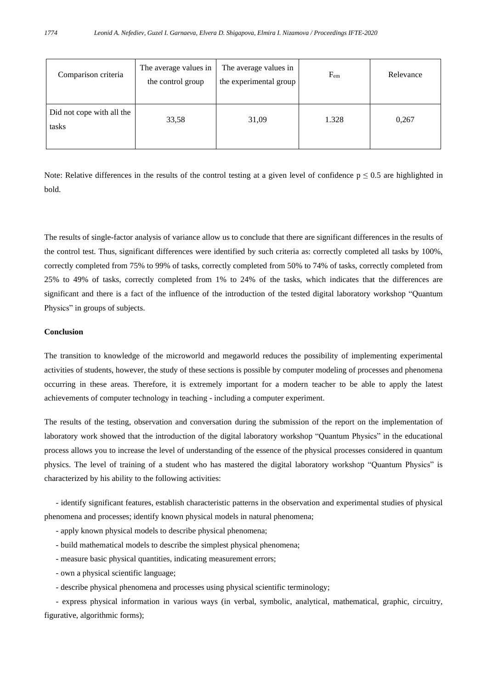| Comparison criteria                | The average values in<br>the control group | The average values in<br>the experimental group | $F_{em}$ | Relevance |
|------------------------------------|--------------------------------------------|-------------------------------------------------|----------|-----------|
| Did not cope with all the<br>tasks | 33,58                                      | 31,09                                           | 1.328    | 0,267     |

Note: Relative differences in the results of the control testing at a given level of confidence  $p \le 0.5$  are highlighted in bold.

The results of single-factor analysis of variance allow us to conclude that there are significant differences in the results of the control test. Thus, significant differences were identified by such criteria as: correctly completed all tasks by 100%, correctly completed from 75% to 99% of tasks, correctly completed from 50% to 74% of tasks, correctly completed from 25% to 49% of tasks, correctly completed from 1% to 24% of the tasks, which indicates that the differences are significant and there is a fact of the influence of the introduction of the tested digital laboratory workshop "Quantum Physics" in groups of subjects.

# **Conclusion**

The transition to knowledge of the microworld and megaworld reduces the possibility of implementing experimental activities of students, however, the study of these sections is possible by computer modeling of processes and phenomena occurring in these areas. Therefore, it is extremely important for a modern teacher to be able to apply the latest achievements of computer technology in teaching - including a computer experiment.

The results of the testing, observation and conversation during the submission of the report on the implementation of laboratory work showed that the introduction of the digital laboratory workshop "Quantum Physics" in the educational process allows you to increase the level of understanding of the essence of the physical processes considered in quantum physics. The level of training of a student who has mastered the digital laboratory workshop "Quantum Physics" is characterized by his ability to the following activities:

- identify significant features, establish characteristic patterns in the observation and experimental studies of physical phenomena and processes; identify known physical models in natural phenomena;

- apply known physical models to describe physical phenomena;
- build mathematical models to describe the simplest physical phenomena;
- measure basic physical quantities, indicating measurement errors;
- own a physical scientific language;
- describe physical phenomena and processes using physical scientific terminology;

- express physical information in various ways (in verbal, symbolic, analytical, mathematical, graphic, circuitry, figurative, algorithmic forms);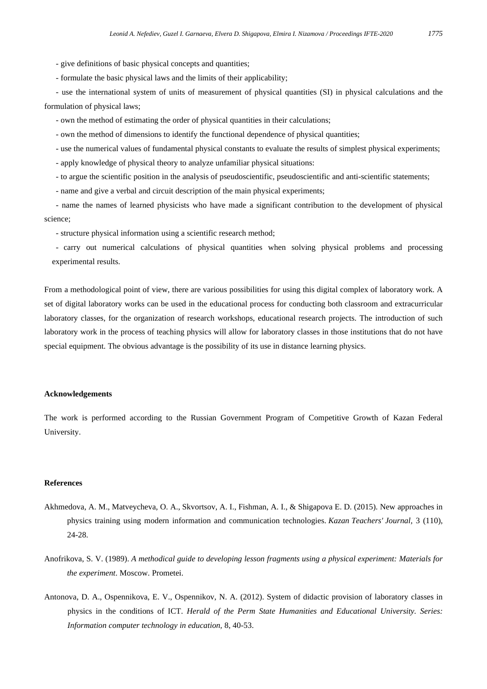- give definitions of basic physical concepts and quantities;

- formulate the basic physical laws and the limits of their applicability;

- use the international system of units of measurement of physical quantities (SI) in physical calculations and the formulation of physical laws;

- own the method of estimating the order of physical quantities in their calculations;

- own the method of dimensions to identify the functional dependence of physical quantities;
- use the numerical values of fundamental physical constants to evaluate the results of simplest physical experiments;
- apply knowledge of physical theory to analyze unfamiliar physical situations:
- to argue the scientific position in the analysis of pseudoscientific, pseudoscientific and anti-scientific statements;
- name and give a verbal and circuit description of the main physical experiments;

- name the names of learned physicists who have made a significant contribution to the development of physical science;

- structure physical information using a scientific research method;

- carry out numerical calculations of physical quantities when solving physical problems and processing experimental results.

From a methodological point of view, there are various possibilities for using this digital complex of laboratory work. A set of digital laboratory works can be used in the educational process for conducting both classroom and extracurricular laboratory classes, for the organization of research workshops, educational research projects. The introduction of such laboratory work in the process of teaching physics will allow for laboratory classes in those institutions that do not have special equipment. The obvious advantage is the possibility of its use in distance learning physics.

#### **Acknowledgements**

The work is performed according to the Russian Government Program of Competitive Growth of Kazan Federal University.

# **References**

- Akhmedova, A. M., Matveycheva, O. A., Skvortsov, A. I., Fishman, A. I., & Shigapova E. D. (2015). New approaches in physics training using modern information and communication technologies. *Kazan Teachers' Journal,* 3 (110), 24-28.
- Anofrikova, S. V. (1989). *A methodical guide to developing lesson fragments using a physical experiment: Materials for the experiment*. Moscow. Prometei.
- Antonova, D. A., Ospennikova, E. V., Ospennikov, N. A. (2012). System of didactic provision of laboratory classes in physics in the conditions of ICT. *Herald of the Perm State Humanities and Educational University. Series: Information computer technology in education,* 8, 40-53.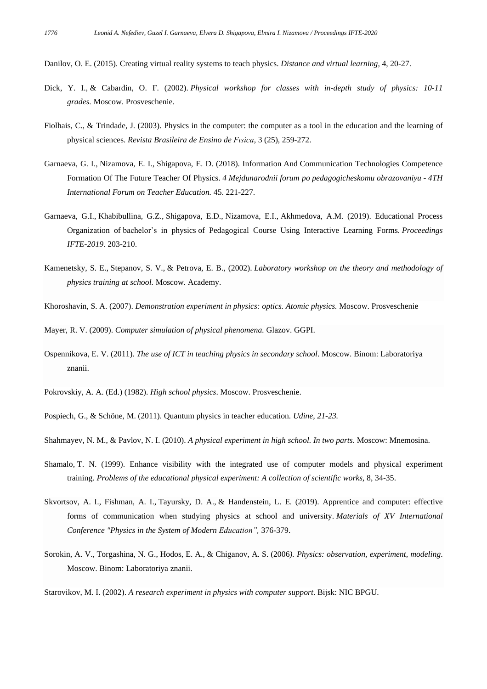Danilov, O. E. (2015). Creating virtual reality systems to teach physics. *Distance and virtual learning,* 4, 20-27.

- Dick, Y. I., & Cabardin, O. F. (2002). *Physical workshop for classes with in-depth study of physics: 10-11 grades.* Moscow. Prosveschenie.
- Fiolhais, C., & Trindade, J. (2003). Physics in the computer: the computer as a tool in the education and the learning of physical sciences. *Revista Brasileira de Ensino de Fısica*, 3 (25), 259-272.
- Garnaeva, G. I., Nizamova, E. I., Shigapova, E. D. (2018). Information And Communication Technologies Competence Formation Of The Future Teacher Of Physics. *4 Mejdunarodnii forum po pedagogicheskomu obrazovaniyu* - *4TH International Forum on Teacher Education.* 45. 221-227.
- Garnaeva, G.I., Khabibullina, G.Z., Shigapova, E.D., Nizamova, E.I., Akhmedova, A.M. (2019). Educational Process Organization of bachelor's in physics of Pedagogical Course Using Interactive Learning Forms. *Proceedings IFTE-2019*. 203-210.
- Kamenetsky, S. E., Stepanov, S. V., & Petrova, E. B., (2002). *Laboratory workshop on the theory and methodology of physics training at school.* Moscow. Academy.
- Khoroshavin, S. A. (2007). *Demonstration experiment in physics: optics. Atomic physics.* Moscow. Prosveschenie
- Mayer, R. V. (2009). *Computer simulation of physical phenomena.* Glazov. GGPI.
- Ospennikova, E. V. (2011). *The use of ICT in teaching physics in secondary school*. Moscow. Binom: Laboratoriya znanii.
- Pokrovskiy, A. A. (Ed.) (1982). *High school physics*. Moscow. Prosveschenie.
- Pospiech, G., & Schöne, M. (2011). Quantum physics in teacher education. *Udine, 21-23.*

Shahmayev, N. M., & Pavlov, N. I. (2010). *A physical experiment in high school. In two parts*. Moscow: Mnemosina.

- Shamalo, T. N. (1999). Enhance visibility with the integrated use of computer models and physical experiment training. *Problems of the educational physical experiment: A collection of scientific works,* 8, 34-35.
- Skvortsov, A. I., Fishman, A. I., Tayursky, D. A., & Handenstein, L. E. (2019). Apprentice and computer: effective forms of communication when studying physics at school and university. *Materials of XV International Conference "Physics in the System of Modern Education",* 376-379.
- Sorokin, A. V., Torgashina, N. G., Hodos, E. A., & Chiganov, A. S. (2006*). Physics: observation, experiment, modeling*. Moscow. Binom: Laboratoriya znanii.

Starovikov, M. I. (2002). *A research experiment in physics with computer support*. Bijsk: NIC BPGU.